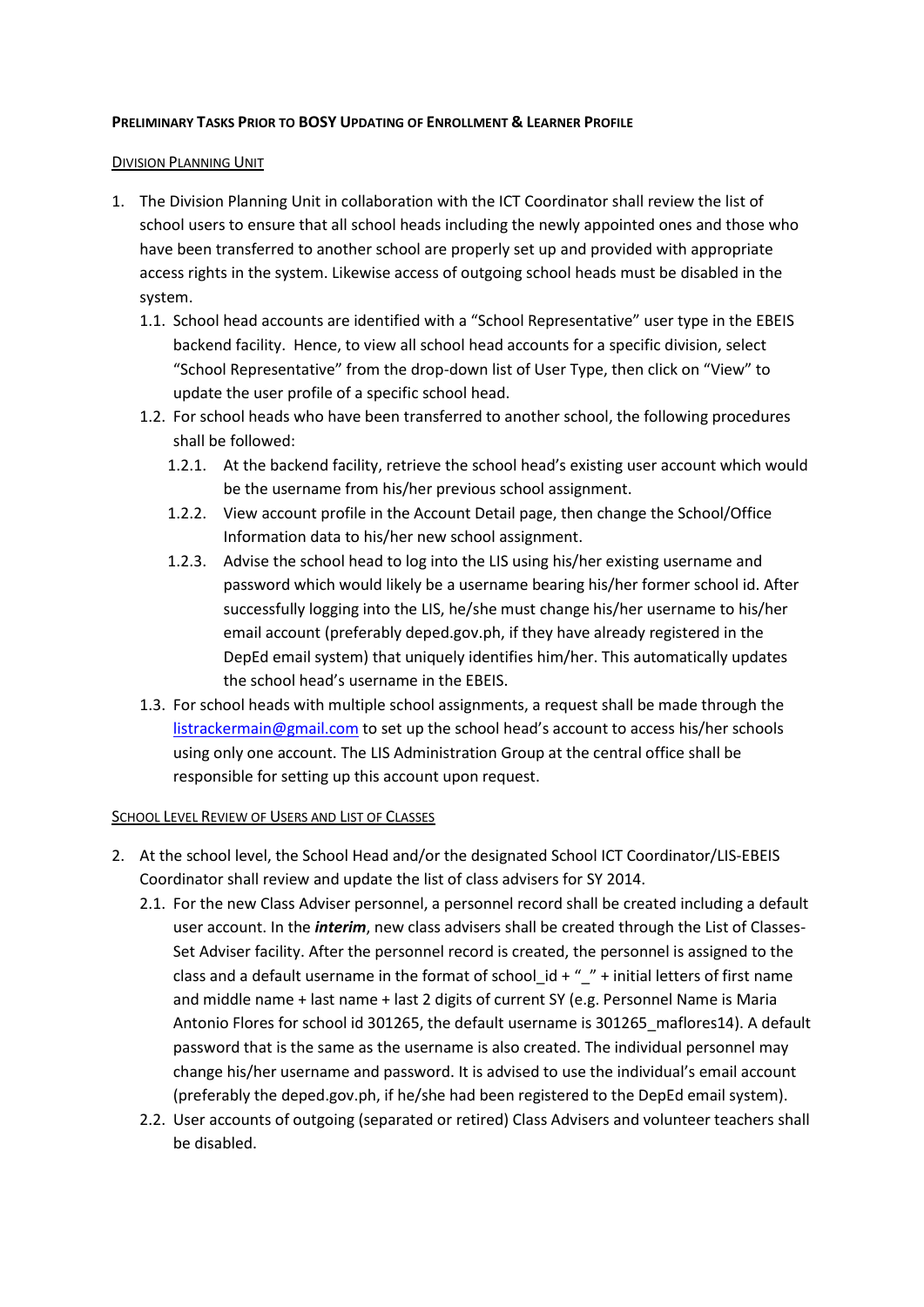## **PRELIMINARY TASKS PRIOR TO BOSY UPDATING OF ENROLLMENT & LEARNER PROFILE**

## DIVISION PLANNING UNIT

- 1. The Division Planning Unit in collaboration with the ICT Coordinator shall review the list of school users to ensure that all school heads including the newly appointed ones and those who have been transferred to another school are properly set up and provided with appropriate access rights in the system. Likewise access of outgoing school heads must be disabled in the system.
	- 1.1. School head accounts are identified with a "School Representative" user type in the EBEIS backend facility. Hence, to view all school head accounts for a specific division, select "School Representative" from the drop-down list of User Type, then click on "View" to update the user profile of a specific school head.
	- 1.2. For school heads who have been transferred to another school, the following procedures shall be followed:
		- 1.2.1. At the backend facility, retrieve the school head's existing user account which would be the username from his/her previous school assignment.
		- 1.2.2. View account profile in the Account Detail page, then change the School/Office Information data to his/her new school assignment.
		- 1.2.3. Advise the school head to log into the LIS using his/her existing username and password which would likely be a username bearing his/her former school id. After successfully logging into the LIS, he/she must change his/her username to his/her email account (preferably deped.gov.ph, if they have already registered in the DepEd email system) that uniquely identifies him/her. This automatically updates the school head's username in the EBEIS.
	- 1.3. For school heads with multiple school assignments, a request shall be made through the [listrackermain@gmail.com](mailto:listrackermain@gmail.com) to set up the school head's account to access his/her schools using only one account. The LIS Administration Group at the central office shall be responsible for setting up this account upon request.

## SCHOOL LEVEL REVIEW OF USERS AND LIST OF CLASSES

- 2. At the school level, the School Head and/or the designated School ICT Coordinator/LIS-EBEIS Coordinator shall review and update the list of class advisers for SY 2014.
	- 2.1. For the new Class Adviser personnel, a personnel record shall be created including a default user account. In the *interim*, new class advisers shall be created through the List of Classes-Set Adviser facility. After the personnel record is created, the personnel is assigned to the class and a default username in the format of school  $id + " " + initial letters of first name$ and middle name + last name + last 2 digits of current SY (e.g. Personnel Name is Maria Antonio Flores for school id 301265, the default username is 301265\_maflores14). A default password that is the same as the username is also created. The individual personnel may change his/her username and password. It is advised to use the individual's email account (preferably the deped.gov.ph, if he/she had been registered to the DepEd email system).
	- 2.2. User accounts of outgoing (separated or retired) Class Advisers and volunteer teachers shall be disabled.